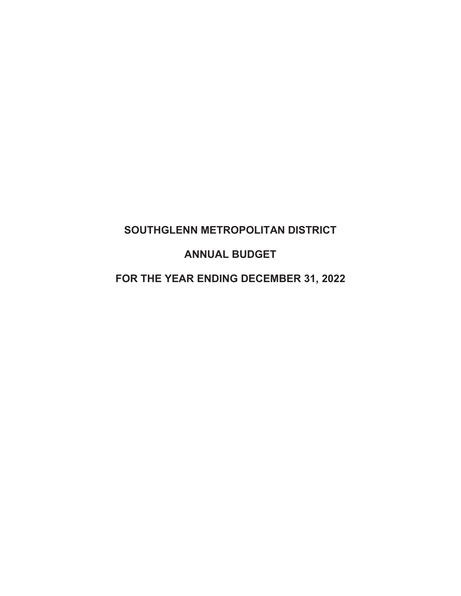## **SOUTHGLENN METROPOLITAN DISTRICT**

## **ANNUAL BUDGET**

# **FOR THE YEAR ENDING DECEMBER 31, 2022**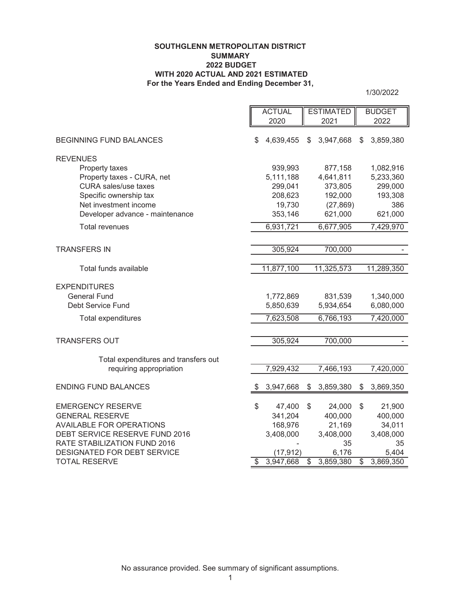#### **SOUTHGLENN METROPOLITAN DISTRICT SUMMARY 2022 BUDGET WITH 2020 ACTUAL AND 2021 ESTIMATED For the Years Ended and Ending December 31,**

1/30/2022

|                                                           | <b>ACTUAL</b>      |                          | <b>ESTIMATED</b>  |                 | <b>BUDGET</b>     |
|-----------------------------------------------------------|--------------------|--------------------------|-------------------|-----------------|-------------------|
|                                                           | 2020               |                          | 2021              |                 | 2022              |
|                                                           |                    |                          |                   |                 |                   |
| <b>BEGINNING FUND BALANCES</b>                            | \$<br>4,639,455    | \$                       | 3,947,668         | \$              | 3,859,380         |
| <b>REVENUES</b>                                           |                    |                          |                   |                 |                   |
| Property taxes                                            | 939,993            |                          | 877,158           |                 | 1,082,916         |
| Property taxes - CURA, net                                | 5,111,188          |                          | 4,641,811         |                 | 5,233,360         |
| <b>CURA</b> sales/use taxes                               | 299,041            |                          | 373,805           |                 | 299,000           |
| Specific ownership tax                                    | 208,623            |                          | 192,000           |                 | 193,308           |
| Net investment income                                     | 19,730             |                          | (27, 869)         |                 | 386               |
| Developer advance - maintenance                           | 353,146            |                          | 621,000           |                 | 621,000           |
| <b>Total revenues</b>                                     | 6,931,721          |                          | 6,677,905         |                 | 7,429,970         |
|                                                           |                    |                          |                   |                 |                   |
| <b>TRANSFERS IN</b>                                       | 305,924            |                          | 700,000           |                 |                   |
|                                                           |                    |                          |                   |                 |                   |
| Total funds available                                     | 11,877,100         |                          | 11,325,573        |                 | 11,289,350        |
| <b>EXPENDITURES</b>                                       |                    |                          |                   |                 |                   |
| <b>General Fund</b>                                       | 1,772,869          |                          | 831,539           |                 | 1,340,000         |
| Debt Service Fund                                         | 5,850,639          |                          | 5,934,654         |                 | 6,080,000         |
| Total expenditures                                        | 7,623,508          |                          | 6,766,193         |                 | 7,420,000         |
|                                                           |                    |                          |                   |                 |                   |
| <b>TRANSFERS OUT</b>                                      | 305,924            |                          | 700,000           |                 |                   |
|                                                           |                    |                          |                   |                 |                   |
| Total expenditures and transfers out                      |                    |                          |                   |                 |                   |
| requiring appropriation                                   | 7,929,432          |                          | 7,466,193         |                 | 7,420,000         |
| <b>ENDING FUND BALANCES</b>                               | 3,947,668          | \$                       | 3,859,380         | \$              | 3,869,350         |
|                                                           |                    |                          |                   |                 |                   |
| <b>EMERGENCY RESERVE</b>                                  | \$<br>47,400       | \$                       | 24,000            | \$              | 21,900            |
| <b>GENERAL RESERVE</b><br><b>AVAILABLE FOR OPERATIONS</b> | 341,204<br>168,976 |                          | 400,000<br>21,169 |                 | 400,000<br>34,011 |
| DEBT SERVICE RESERVE FUND 2016                            | 3,408,000          |                          | 3,408,000         |                 | 3,408,000         |
| RATE STABILIZATION FUND 2016                              |                    |                          | 35                |                 | 35                |
| DESIGNATED FOR DEBT SERVICE                               | (17, 912)          |                          | 6,176             |                 | 5,404             |
| <b>TOTAL RESERVE</b>                                      | \$<br>3,947,668    | $\overline{\mathcal{E}}$ | 3,859,380         | $\overline{\$}$ | 3,869,350         |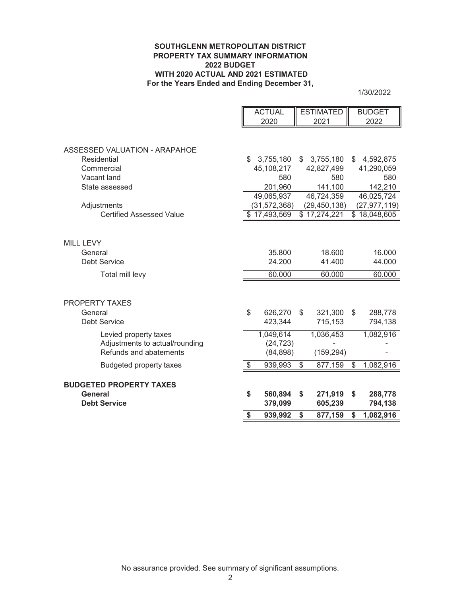#### **SOUTHGLENN METROPOLITAN DISTRICT PROPERTY TAX SUMMARY INFORMATION 2022 BUDGET WITH 2020 ACTUAL AND 2021 ESTIMATED For the Years Ended and Ending December 31,**

Б

1/30/2022

|                                 | <b>ACTUAL</b>   | <b>ESTIMATED</b> | <b>BUDGET</b>   |
|---------------------------------|-----------------|------------------|-----------------|
|                                 | 2020            | 2021             | 2022            |
|                                 |                 |                  |                 |
|                                 |                 |                  |                 |
| ASSESSED VALUATION - ARAPAHOE   |                 |                  |                 |
| Residential                     | \$<br>3,755,180 | \$<br>3,755,180  | \$<br>4,592,875 |
| Commercial                      | 45,108,217      | 42,827,499       | 41,290,059      |
| Vacant land                     | 580             | 580              | 580             |
| State assessed                  | 201,960         | 141,100          | 142,210         |
|                                 | 49,065,937      | 46,724,359       | 46,025,724      |
| Adjustments                     | (31, 572, 368)  | (29, 450, 138)   | (27, 977, 119)  |
| <b>Certified Assessed Value</b> | \$17,493,569    | \$17,274,221     | \$18,048,605    |
|                                 |                 |                  |                 |
|                                 |                 |                  |                 |
| <b>MILL LEVY</b>                |                 |                  |                 |
| General                         | 35.800          | 18.600           | 16.000          |
| <b>Debt Service</b>             | 24.200          | 41.400           | 44.000          |
| Total mill levy                 | 60.000          | 60.000           | 60.000          |
|                                 |                 |                  |                 |
|                                 |                 |                  |                 |
| <b>PROPERTY TAXES</b>           |                 |                  |                 |
| General                         | \$<br>626,270   | \$<br>321,300    | \$<br>288,778   |
| <b>Debt Service</b>             | 423,344         | 715,153          | 794,138         |
|                                 |                 |                  |                 |
| Levied property taxes           | 1,049,614       | 1,036,453        | 1,082,916       |
| Adjustments to actual/rounding  | (24, 723)       |                  |                 |
| Refunds and abatements          | (84, 898)       | (159, 294)       |                 |
| <b>Budgeted property taxes</b>  | \$<br>939,993   | \$<br>877,159    | \$<br>1,082,916 |
|                                 |                 |                  |                 |
| <b>BUDGETED PROPERTY TAXES</b>  |                 |                  |                 |
| <b>General</b>                  | \$<br>560,894   | \$<br>271,919    | \$<br>288,778   |
| <b>Debt Service</b>             | 379,099         | 605,239          | 794,138         |
|                                 | \$<br>939,992   | \$<br>877,159    | \$<br>1,082,916 |
|                                 |                 |                  |                 |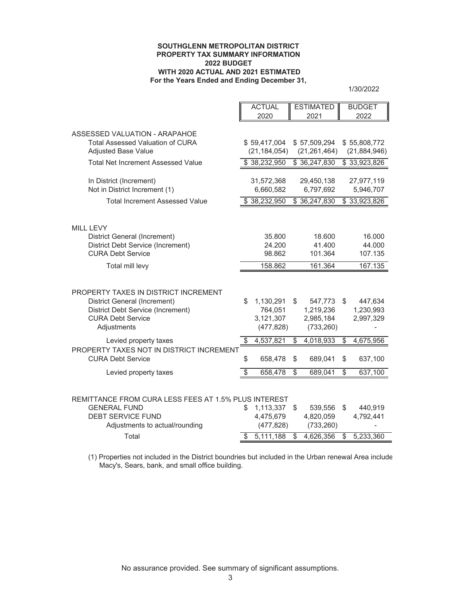#### **SOUTHGLENN METROPOLITAN DISTRICT PROPERTY TAX SUMMARY INFORMATION 2022 BUDGET WITH 2020 ACTUAL AND 2021 ESTIMATED For the Years Ended and Ending December 31,**

| 1/30/2022 |  |
|-----------|--|
|-----------|--|

|                                                                          |                          | <b>ACTUAL</b>  |                 | <b>ESTIMATED</b> |    | <b>BUDGET</b>  |
|--------------------------------------------------------------------------|--------------------------|----------------|-----------------|------------------|----|----------------|
|                                                                          |                          | 2020           |                 | 2021             |    | 2022           |
|                                                                          |                          |                |                 |                  |    |                |
| ASSESSED VALUATION - ARAPAHOE<br><b>Total Assessed Valuation of CURA</b> |                          | \$59,417,004   |                 | \$57,509,294     |    | \$55,808,772   |
| <b>Adjusted Base Value</b>                                               |                          | (21, 184, 054) |                 | (21, 261, 464)   |    | (21, 884, 946) |
|                                                                          |                          |                |                 |                  |    |                |
| <b>Total Net Increment Assessed Value</b>                                |                          | \$38,232,950   |                 | \$36,247,830     |    | \$33,923,826   |
| In District (Increment)                                                  |                          | 31,572,368     |                 | 29,450,138       |    | 27,977,119     |
| Not in District Increment (1)                                            |                          | 6,660,582      |                 | 6,797,692        |    | 5,946,707      |
| <b>Total Increment Assessed Value</b>                                    |                          | \$38,232,950   |                 | \$36,247,830     |    | \$33,923,826   |
|                                                                          |                          |                |                 |                  |    |                |
|                                                                          |                          |                |                 |                  |    |                |
| MILL LEVY                                                                |                          |                |                 |                  |    |                |
| District General (Increment)                                             |                          | 35.800         |                 | 18.600           |    | 16.000         |
| District Debt Service (Increment)                                        |                          | 24.200         |                 | 41.400           |    | 44.000         |
| <b>CURA Debt Service</b>                                                 |                          | 98.862         |                 | 101.364          |    | 107.135        |
| Total mill levy                                                          |                          | 158.862        |                 | 161.364          |    | 167.135        |
|                                                                          |                          |                |                 |                  |    |                |
|                                                                          |                          |                |                 |                  |    |                |
| PROPERTY TAXES IN DISTRICT INCREMENT                                     |                          |                |                 |                  |    |                |
| <b>District General (Increment)</b>                                      | \$                       | 1,130,291      | \$              | 547,773          | \$ | 447,634        |
| District Debt Service (Increment)                                        |                          | 764,051        |                 | 1,219,236        |    | 1,230,993      |
| <b>CURA Debt Service</b>                                                 |                          | 3,121,307      |                 | 2,985,184        |    | 2,997,329      |
| Adjustments                                                              |                          | (477, 828)     |                 | (733, 260)       |    |                |
| Levied property taxes                                                    | \$                       | 4,537,821      | \$              | 4,018,933        | \$ | 4,675,956      |
| PROPERTY TAXES NOT IN DISTRICT INCREMENT                                 |                          |                |                 |                  |    |                |
| <b>CURA Debt Service</b>                                                 | \$                       | 658,478        | \$              | 689,041          | \$ | 637,100        |
| Levied property taxes                                                    | $\overline{\mathcal{S}}$ | 658,478        | $\overline{\$}$ | 689,041          | \$ | 637,100        |
|                                                                          |                          |                |                 |                  |    |                |
|                                                                          |                          |                |                 |                  |    |                |
| REMITTANCE FROM CURA LESS FEES AT 1.5% PLUS INTEREST                     |                          |                |                 |                  |    |                |
| <b>GENERAL FUND</b>                                                      | \$                       | 1,113,337      | \$              | 539,556          | \$ | 440,919        |
| <b>DEBT SERVICE FUND</b>                                                 |                          | 4,475,679      |                 | 4,820,059        |    | 4,792,441      |
| Adjustments to actual/rounding                                           |                          | (477, 828)     |                 | (733, 260)       |    |                |
| Total                                                                    | \$                       | 5,111,188      | \$              | 4,626,356        | S  | 5,233,360      |
|                                                                          |                          |                |                 |                  |    |                |

(1) Properties not included in the District boundries but included in the Urban renewal Area include Macy's, Sears, bank, and small office building.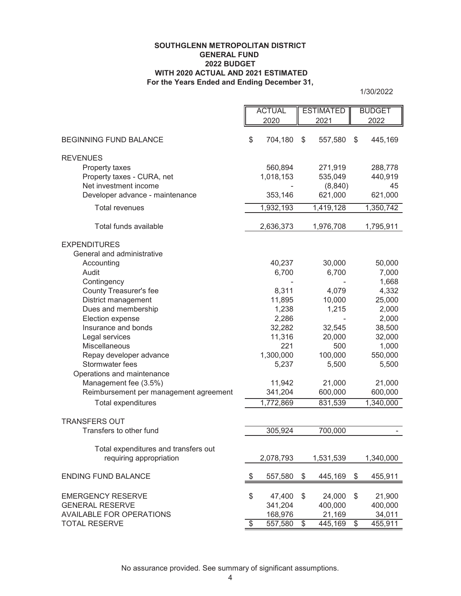#### **For the Years Ended and Ending December 31, SOUTHGLENN METROPOLITAN DISTRICT GENERAL FUND 2022 BUDGET WITH 2020 ACTUAL AND 2021 ESTIMATED**

1/30/2022

|                                        | <b>ACTUAL</b> |           |    | <b>ESTIMATED</b>  |    | <b>BUDGET</b>     |
|----------------------------------------|---------------|-----------|----|-------------------|----|-------------------|
|                                        |               | 2020      |    | 2021              |    | 2022              |
|                                        |               |           |    |                   |    |                   |
| <b>BEGINNING FUND BALANCE</b>          | \$            | 704,180   | \$ | 557,580           | \$ | 445,169           |
|                                        |               |           |    |                   |    |                   |
| <b>REVENUES</b>                        |               |           |    |                   |    |                   |
| Property taxes                         |               | 560,894   |    | 271,919           |    | 288,778           |
| Property taxes - CURA, net             |               | 1,018,153 |    | 535,049           |    | 440,919           |
| Net investment income                  |               |           |    | (8, 840)          |    | 45                |
| Developer advance - maintenance        |               | 353,146   |    | 621,000           |    | 621,000           |
| <b>Total revenues</b>                  |               | 1,932,193 |    | 1,419,128         |    | 1,350,742         |
| Total funds available                  |               | 2,636,373 |    | 1,976,708         |    | 1,795,911         |
|                                        |               |           |    |                   |    |                   |
| <b>EXPENDITURES</b>                    |               |           |    |                   |    |                   |
| General and administrative             |               |           |    |                   |    |                   |
| Accounting                             |               | 40,237    |    | 30,000            |    | 50,000            |
| Audit                                  |               | 6,700     |    | 6,700             |    | 7,000             |
| Contingency                            |               |           |    |                   |    | 1,668             |
| County Treasurer's fee                 |               | 8,311     |    | 4,079             |    | 4,332             |
| District management                    |               | 11,895    |    | 10,000            |    | 25,000            |
| Dues and membership                    |               | 1,238     |    | 1,215             |    | 2,000             |
| Election expense                       |               | 2,286     |    |                   |    | 2,000             |
| Insurance and bonds                    |               | 32,282    |    | 32,545            |    | 38,500            |
| Legal services                         |               | 11,316    |    | 20,000            |    | 32,000            |
| Miscellaneous                          |               | 221       |    | 500               |    | 1,000             |
| Repay developer advance                |               | 1,300,000 |    | 100,000           |    | 550,000           |
| Stormwater fees                        |               | 5,237     |    | 5,500             |    | 5,500             |
| Operations and maintenance             |               |           |    |                   |    |                   |
| Management fee (3.5%)                  |               | 11,942    |    | 21,000            |    | 21,000            |
| Reimbursement per management agreement |               | 341,204   |    | 600,000           |    | 600,000           |
| Total expenditures                     |               | 1,772,869 |    | 831,539           |    | 1,340,000         |
| <b>TRANSFERS OUT</b>                   |               |           |    |                   |    |                   |
| Transfers to other fund                |               | 305,924   |    | 700,000           |    |                   |
|                                        |               |           |    |                   |    |                   |
| Total expenditures and transfers out   |               |           |    |                   |    |                   |
| requiring appropriation                |               | 2,078,793 |    | 1,531,539         |    | 1,340,000         |
| <b>ENDING FUND BALANCE</b>             | \$            | 557,580   | \$ | 445,169           | \$ | 455,911           |
| <b>EMERGENCY RESERVE</b>               | \$            | 47,400    | \$ |                   | \$ |                   |
| <b>GENERAL RESERVE</b>                 |               | 341,204   |    | 24,000<br>400,000 |    | 21,900<br>400,000 |
| <b>AVAILABLE FOR OPERATIONS</b>        |               | 168,976   |    | 21,169            |    | 34,011            |
| <b>TOTAL RESERVE</b>                   | $\$\$         | 557,580   | \$ | 445,169           | \$ | 455,911           |

No assurance provided. See summary of significant assumptions.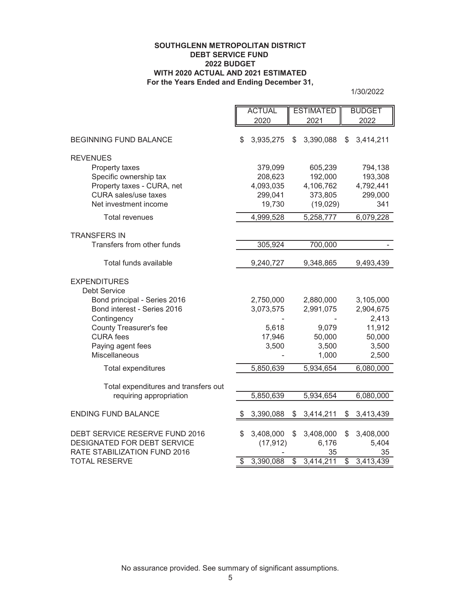#### **SOUTHGLENN METROPOLITAN DISTRICT DEBT SERVICE FUND 2022 BUDGET WITH 2020 ACTUAL AND 2021 ESTIMATED For the Years Ended and Ending December 31,**

1/30/2022

|                                              | <b>ACTUAL</b> |           | <b>ESTIMATED</b> |           |                 | <b>BUDGET</b>   |
|----------------------------------------------|---------------|-----------|------------------|-----------|-----------------|-----------------|
|                                              | 2020          |           |                  | 2021      |                 | 2022            |
| <b>BEGINNING FUND BALANCE</b>                | \$            | 3,935,275 | \$               | 3,390,088 | \$              | 3,414,211       |
| <b>REVENUES</b>                              |               |           |                  |           |                 |                 |
| Property taxes                               |               | 379,099   |                  | 605,239   |                 | 794,138         |
| Specific ownership tax                       |               | 208,623   |                  | 192,000   |                 | 193,308         |
| Property taxes - CURA, net                   |               | 4,093,035 |                  | 4,106,762 |                 | 4,792,441       |
| <b>CURA</b> sales/use taxes                  |               | 299,041   |                  | 373,805   |                 | 299,000         |
| Net investment income                        |               | 19,730    |                  | (19,029)  |                 | 341             |
| <b>Total revenues</b>                        |               | 4,999,528 |                  | 5,258,777 |                 | 6,079,228       |
| <b>TRANSFERS IN</b>                          |               |           |                  |           |                 |                 |
| Transfers from other funds                   |               | 305,924   |                  | 700,000   |                 |                 |
| Total funds available                        |               | 9,240,727 |                  | 9,348,865 |                 | 9,493,439       |
| <b>EXPENDITURES</b>                          |               |           |                  |           |                 |                 |
| <b>Debt Service</b>                          |               |           |                  |           |                 |                 |
| Bond principal - Series 2016                 |               | 2,750,000 |                  | 2,880,000 |                 | 3,105,000       |
| Bond interest - Series 2016                  |               | 3,073,575 |                  | 2,991,075 |                 | 2,904,675       |
| Contingency<br><b>County Treasurer's fee</b> |               | 5,618     |                  | 9,079     |                 | 2,413<br>11,912 |
| <b>CURA</b> fees                             |               | 17,946    |                  | 50,000    |                 | 50,000          |
| Paying agent fees                            |               | 3,500     |                  | 3,500     |                 | 3,500           |
| <b>Miscellaneous</b>                         |               |           |                  | 1,000     |                 | 2,500           |
| Total expenditures                           |               | 5,850,639 |                  | 5,934,654 |                 | 6,080,000       |
|                                              |               |           |                  |           |                 |                 |
| Total expenditures and transfers out         |               |           |                  |           |                 |                 |
| requiring appropriation                      |               | 5,850,639 |                  | 5,934,654 |                 | 6,080,000       |
| <b>ENDING FUND BALANCE</b>                   |               | 3,390,088 | \$               | 3,414,211 | \$              | 3,413,439       |
| DEBT SERVICE RESERVE FUND 2016               | \$            | 3,408,000 | \$               | 3,408,000 | \$              | 3,408,000       |
| DESIGNATED FOR DEBT SERVICE                  |               | (17, 912) |                  | 6,176     |                 | 5,404           |
| RATE STABILIZATION FUND 2016                 |               |           |                  | 35        |                 | 35              |
| <b>TOTAL RESERVE</b>                         | \$            | 3,390,088 | $\overline{\$}$  | 3,414,211 | $\overline{\$}$ | 3,413,439       |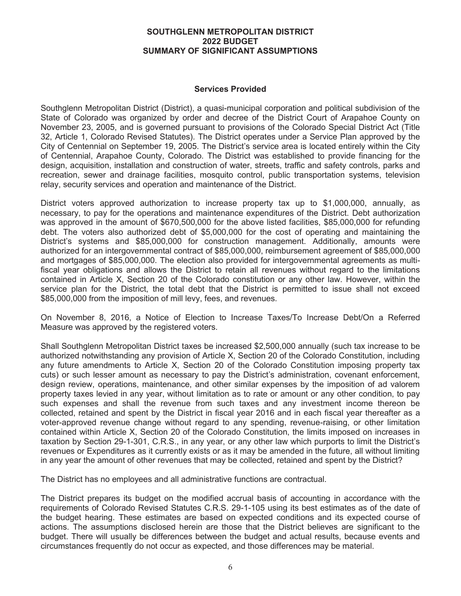## **Services Provided**

Southglenn Metropolitan District (District), a quasi-municipal corporation and political subdivision of the State of Colorado was organized by order and decree of the District Court of Arapahoe County on November 23, 2005, and is governed pursuant to provisions of the Colorado Special District Act (Title 32, Article 1, Colorado Revised Statutes). The District operates under a Service Plan approved by the City of Centennial on September 19, 2005. The District's service area is located entirely within the City of Centennial, Arapahoe County, Colorado. The District was established to provide financing for the design, acquisition, installation and construction of water, streets, traffic and safety controls, parks and recreation, sewer and drainage facilities, mosquito control, public transportation systems, television relay, security services and operation and maintenance of the District.

District voters approved authorization to increase property tax up to \$1,000,000, annually, as necessary, to pay for the operations and maintenance expenditures of the District. Debt authorization was approved in the amount of \$670,500,000 for the above listed facilities, \$85,000,000 for refunding debt. The voters also authorized debt of \$5,000,000 for the cost of operating and maintaining the District's systems and \$85,000,000 for construction management. Additionally, amounts were authorized for an intergovernmental contract of \$85,000,000, reimbursement agreement of \$85,000,000 and mortgages of \$85,000,000. The election also provided for intergovernmental agreements as multifiscal year obligations and allows the District to retain all revenues without regard to the limitations contained in Article X, Section 20 of the Colorado constitution or any other law. However, within the service plan for the District, the total debt that the District is permitted to issue shall not exceed \$85,000,000 from the imposition of mill levy, fees, and revenues.

On November 8, 2016, a Notice of Election to Increase Taxes/To Increase Debt/On a Referred Measure was approved by the registered voters.

Shall Southglenn Metropolitan District taxes be increased \$2,500,000 annually (such tax increase to be authorized notwithstanding any provision of Article X, Section 20 of the Colorado Constitution, including any future amendments to Article X, Section 20 of the Colorado Constitution imposing property tax cuts) or such lesser amount as necessary to pay the District's administration, covenant enforcement, design review, operations, maintenance, and other similar expenses by the imposition of ad valorem property taxes levied in any year, without limitation as to rate or amount or any other condition, to pay such expenses and shall the revenue from such taxes and any investment income thereon be collected, retained and spent by the District in fiscal year 2016 and in each fiscal year thereafter as a voter-approved revenue change without regard to any spending, revenue-raising, or other limitation contained within Article X, Section 20 of the Colorado Constitution, the limits imposed on increases in taxation by Section 29-1-301, C.R.S., in any year, or any other law which purports to limit the District's revenues or Expenditures as it currently exists or as it may be amended in the future, all without limiting in any year the amount of other revenues that may be collected, retained and spent by the District?

The District has no employees and all administrative functions are contractual.

The District prepares its budget on the modified accrual basis of accounting in accordance with the requirements of Colorado Revised Statutes C.R.S. 29-1-105 using its best estimates as of the date of the budget hearing. These estimates are based on expected conditions and its expected course of actions. The assumptions disclosed herein are those that the District believes are significant to the budget. There will usually be differences between the budget and actual results, because events and circumstances frequently do not occur as expected, and those differences may be material.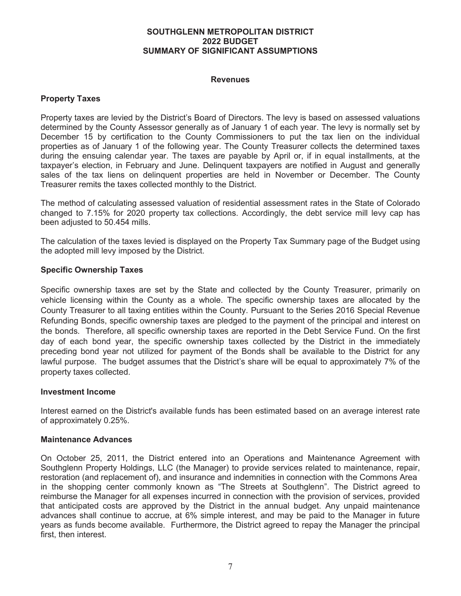### **Revenues**

## **Property Taxes**

Property taxes are levied by the District's Board of Directors. The levy is based on assessed valuations determined by the County Assessor generally as of January 1 of each year. The levy is normally set by December 15 by certification to the County Commissioners to put the tax lien on the individual properties as of January 1 of the following year. The County Treasurer collects the determined taxes during the ensuing calendar year. The taxes are payable by April or, if in equal installments, at the taxpayer's election, in February and June. Delinquent taxpayers are notified in August and generally sales of the tax liens on delinquent properties are held in November or December. The County Treasurer remits the taxes collected monthly to the District.

The method of calculating assessed valuation of residential assessment rates in the State of Colorado changed to 7.15% for 2020 property tax collections. Accordingly, the debt service mill levy cap has been adjusted to 50.454 mills.

The calculation of the taxes levied is displayed on the Property Tax Summary page of the Budget using the adopted mill levy imposed by the District.

### **Specific Ownership Taxes**

Specific ownership taxes are set by the State and collected by the County Treasurer, primarily on vehicle licensing within the County as a whole. The specific ownership taxes are allocated by the County Treasurer to all taxing entities within the County. Pursuant to the Series 2016 Special Revenue Refunding Bonds, specific ownership taxes are pledged to the payment of the principal and interest on the bonds. Therefore, all specific ownership taxes are reported in the Debt Service Fund. On the first day of each bond year, the specific ownership taxes collected by the District in the immediately preceding bond year not utilized for payment of the Bonds shall be available to the District for any lawful purpose. The budget assumes that the District's share will be equal to approximately 7% of the property taxes collected.

#### **Investment Income**

Interest earned on the District's available funds has been estimated based on an average interest rate of approximately 0.25%.

#### **Maintenance Advances**

On October 25, 2011, the District entered into an Operations and Maintenance Agreement with Southglenn Property Holdings, LLC (the Manager) to provide services related to maintenance, repair, restoration (and replacement of), and insurance and indemnities in connection with the Commons Area in the shopping center commonly known as "The Streets at Southglenn". The District agreed to reimburse the Manager for all expenses incurred in connection with the provision of services, provided that anticipated costs are approved by the District in the annual budget. Any unpaid maintenance advances shall continue to accrue, at 6% simple interest, and may be paid to the Manager in future years as funds become available. Furthermore, the District agreed to repay the Manager the principal first, then interest.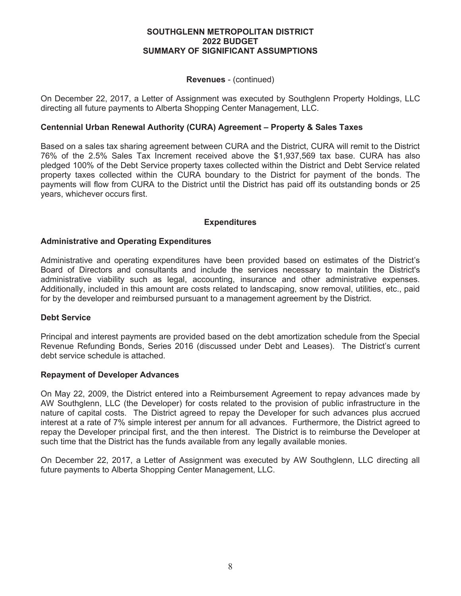#### **Revenues** - (continued)

On December 22, 2017, a Letter of Assignment was executed by Southglenn Property Holdings, LLC directing all future payments to Alberta Shopping Center Management, LLC.

## **Centennial Urban Renewal Authority (CURA) Agreement – Property & Sales Taxes**

Based on a sales tax sharing agreement between CURA and the District, CURA will remit to the District 76% of the 2.5% Sales Tax Increment received above the \$1,937,569 tax base. CURA has also pledged 100% of the Debt Service property taxes collected within the District and Debt Service related property taxes collected within the CURA boundary to the District for payment of the bonds. The payments will flow from CURA to the District until the District has paid off its outstanding bonds or 25 years, whichever occurs first.

### **Expenditures**

#### **Administrative and Operating Expenditures**

Administrative and operating expenditures have been provided based on estimates of the District's Board of Directors and consultants and include the services necessary to maintain the District's administrative viability such as legal, accounting, insurance and other administrative expenses. Additionally, included in this amount are costs related to landscaping, snow removal, utilities, etc., paid for by the developer and reimbursed pursuant to a management agreement by the District.

#### **Debt Service**

Principal and interest payments are provided based on the debt amortization schedule from the Special Revenue Refunding Bonds, Series 2016 (discussed under Debt and Leases). The District's current debt service schedule is attached.

#### **Repayment of Developer Advances**

On May 22, 2009, the District entered into a Reimbursement Agreement to repay advances made by AW Southglenn, LLC (the Developer) for costs related to the provision of public infrastructure in the nature of capital costs. The District agreed to repay the Developer for such advances plus accrued interest at a rate of 7% simple interest per annum for all advances. Furthermore, the District agreed to repay the Developer principal first, and the then interest. The District is to reimburse the Developer at such time that the District has the funds available from any legally available monies.

On December 22, 2017, a Letter of Assignment was executed by AW Southglenn, LLC directing all future payments to Alberta Shopping Center Management, LLC.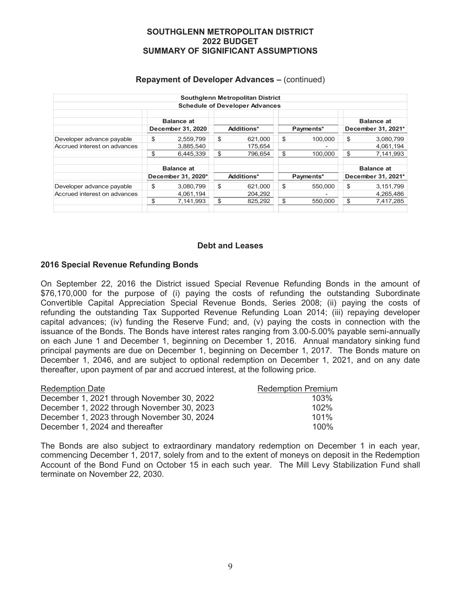### **Repayment of Developer Advances –** (continued)

|                              |                    | Southglenn Metropolitan District      |               |                    |
|------------------------------|--------------------|---------------------------------------|---------------|--------------------|
|                              |                    | <b>Schedule of Developer Advances</b> |               |                    |
|                              |                    |                                       |               |                    |
|                              | <b>Balance at</b>  |                                       |               | <b>Balance at</b>  |
|                              | December 31, 2020  | Additions*                            | Payments*     | December 31, 2021* |
| Developer advance payable    | \$<br>2.559.799    | \$<br>621.000                         | \$<br>100.000 | \$<br>3,080,799    |
| Accrued interest on advances | 3.885.540          | 175.654                               |               | 4.061.194          |
|                              | \$<br>6.445.339    | \$<br>796.654                         | \$<br>100,000 | \$<br>7,141,993    |
|                              |                    |                                       |               |                    |
|                              | <b>Balance at</b>  |                                       |               | <b>Balance at</b>  |
|                              | December 31, 2020* | Additions*                            | Payments*     | December 31, 2021* |
| Developer advance payable    | \$<br>3,080,799    | \$<br>621.000                         | \$<br>550.000 | \$<br>3,151,799    |
| Accrued interest on advances | 4,061,194          | 204,292                               | -             | 4,265,486          |
|                              | \$<br>7.141.993    | \$<br>825.292                         | \$<br>550.000 | \$<br>7,417,285    |
|                              |                    |                                       |               |                    |

#### **Debt and Leases**

#### **2016 Special Revenue Refunding Bonds**

On September 22, 2016 the District issued Special Revenue Refunding Bonds in the amount of \$76,170,000 for the purpose of (i) paying the costs of refunding the outstanding Subordinate Convertible Capital Appreciation Special Revenue Bonds, Series 2008; (ii) paying the costs of refunding the outstanding Tax Supported Revenue Refunding Loan 2014; (iii) repaying developer capital advances; (iv) funding the Reserve Fund; and, (v) paying the costs in connection with the issuance of the Bonds. The Bonds have interest rates ranging from 3.00-5.00% payable semi-annually on each June 1 and December 1, beginning on December 1, 2016. Annual mandatory sinking fund principal payments are due on December 1, beginning on December 1, 2017. The Bonds mature on December 1, 2046, and are subject to optional redemption on December 1, 2021, and on any date thereafter, upon payment of par and accrued interest, at the following price.

| <b>Redemption Date</b>                     | <b>Redemption Premium</b> |
|--------------------------------------------|---------------------------|
| December 1, 2021 through November 30, 2022 | 103%                      |
| December 1, 2022 through November 30, 2023 | $102\%$                   |
| December 1, 2023 through November 30, 2024 | 101%                      |
| December 1, 2024 and thereafter            | $100\%$                   |

The Bonds are also subject to extraordinary mandatory redemption on December 1 in each year, commencing December 1, 2017, solely from and to the extent of moneys on deposit in the Redemption Account of the Bond Fund on October 15 in each such year. The Mill Levy Stabilization Fund shall terminate on November 22, 2030.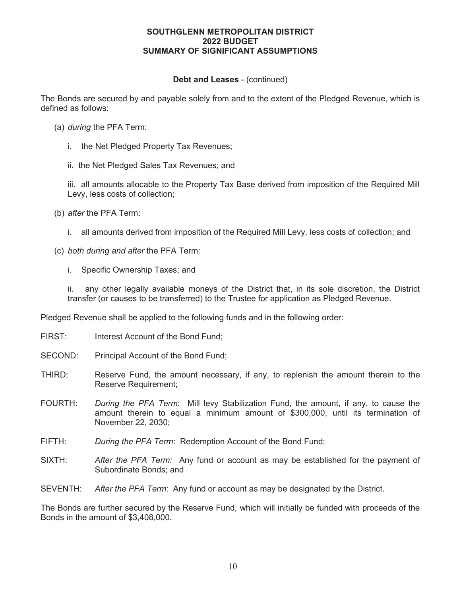## **Debt and Leases** - (continued)

The Bonds are secured by and payable solely from and to the extent of the Pledged Revenue, which is defined as follows:

- (a) *during* the PFA Term:
	- i. the Net Pledged Property Tax Revenues;
	- ii. the Net Pledged Sales Tax Revenues; and

iii. all amounts allocable to the Property Tax Base derived from imposition of the Required Mill Levy, less costs of collection;

- (b) *after* the PFA Term:
	- i. all amounts derived from imposition of the Required Mill Levy, less costs of collection; and
- (c) *both during and after* the PFA Term:
	- i. Specific Ownership Taxes; and

ii. any other legally available moneys of the District that, in its sole discretion, the District transfer (or causes to be transferred) to the Trustee for application as Pledged Revenue.

Pledged Revenue shall be applied to the following funds and in the following order:

- FIRST: Interest Account of the Bond Fund;
- SECOND: Principal Account of the Bond Fund;
- THIRD: Reserve Fund, the amount necessary, if any, to replenish the amount therein to the Reserve Requirement;
- FOURTH: *During the PFA Term*: Mill levy Stabilization Fund, the amount, if any, to cause the amount therein to equal a minimum amount of \$300,000, until its termination of November 22, 2030;
- FIFTH: *During the PFA Term*: Redemption Account of the Bond Fund;
- SIXTH: *After the PFA Term:* Any fund or account as may be established for the payment of Subordinate Bonds; and
- SEVENTH: *After the PFA Term*: Any fund or account as may be designated by the District.

The Bonds are further secured by the Reserve Fund, which will initially be funded with proceeds of the Bonds in the amount of \$3,408,000.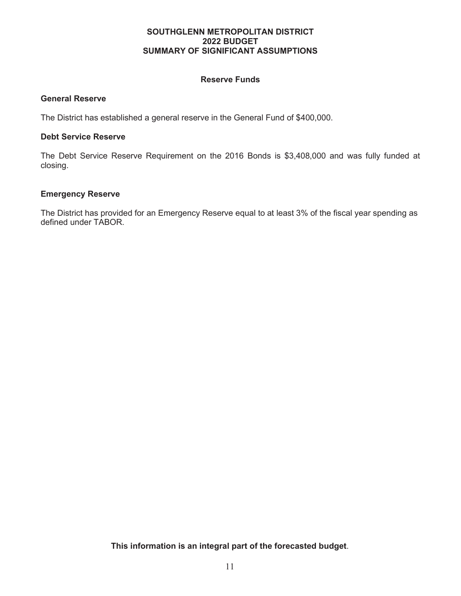## **Reserve Funds**

## **General Reserve**

The District has established a general reserve in the General Fund of \$400,000.

## **Debt Service Reserve**

The Debt Service Reserve Requirement on the 2016 Bonds is \$3,408,000 and was fully funded at closing.

## **Emergency Reserve**

The District has provided for an Emergency Reserve equal to at least 3% of the fiscal year spending as defined under TABOR.

## **This information is an integral part of the forecasted budget**.